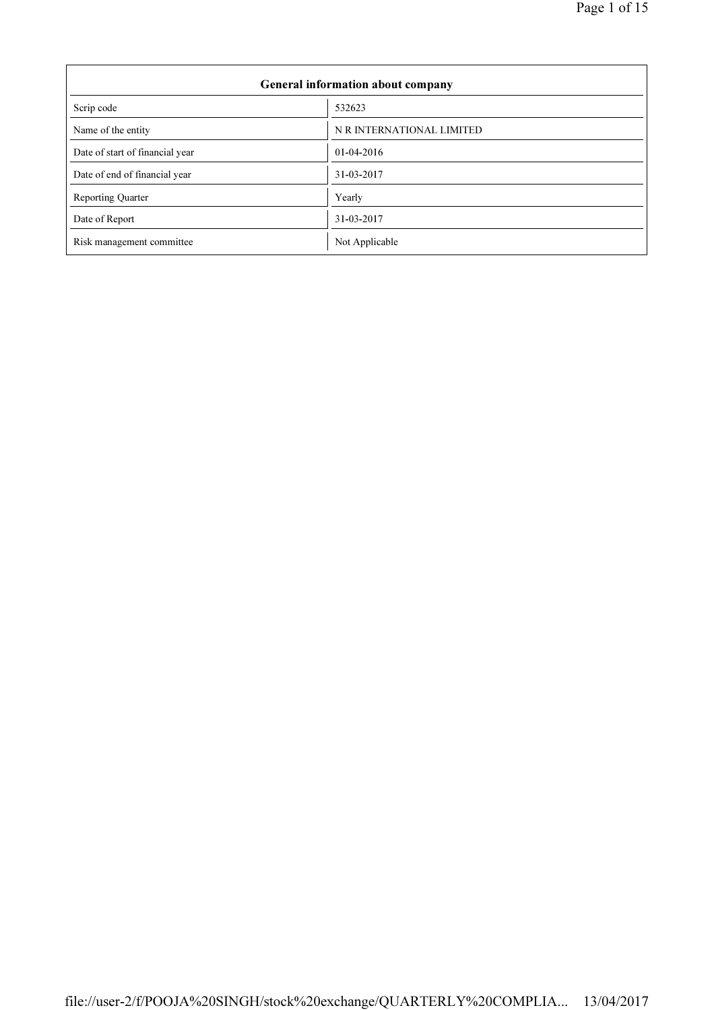| General information about company |                           |  |  |  |
|-----------------------------------|---------------------------|--|--|--|
| Scrip code                        | 532623                    |  |  |  |
| Name of the entity                | N R INTERNATIONAL LIMITED |  |  |  |
| Date of start of financial year   | $01-04-2016$              |  |  |  |
| Date of end of financial year     | 31-03-2017                |  |  |  |
| <b>Reporting Quarter</b>          | Yearly                    |  |  |  |
| Date of Report                    | 31-03-2017                |  |  |  |
| Risk management committee         | Not Applicable            |  |  |  |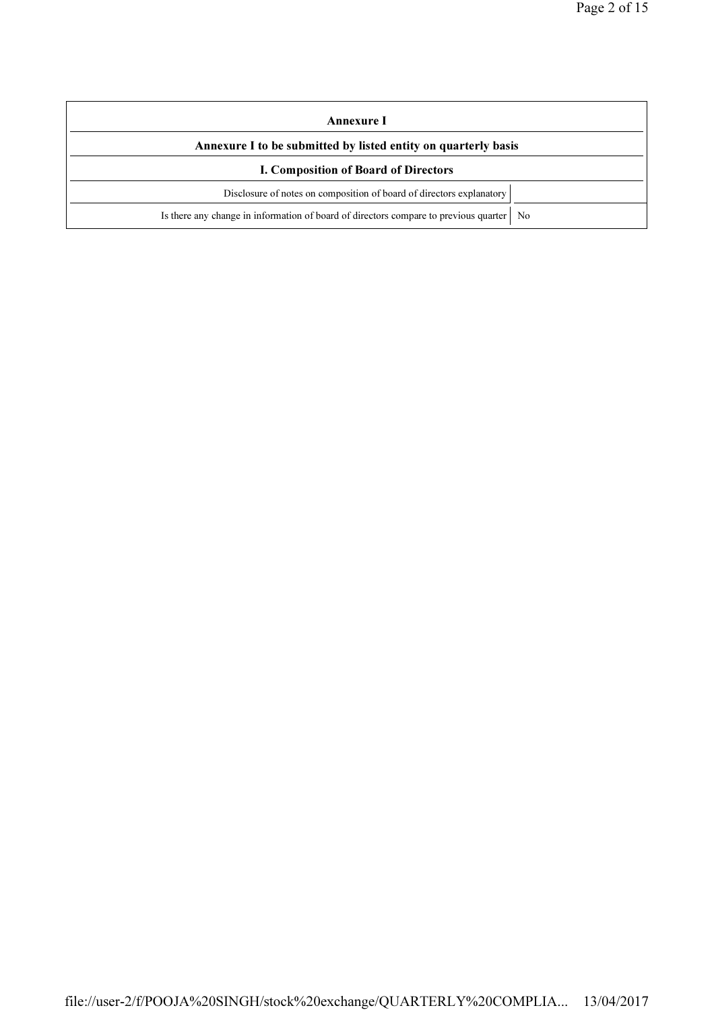| Annexure I                                                                                |  |  |  |
|-------------------------------------------------------------------------------------------|--|--|--|
| Annexure I to be submitted by listed entity on quarterly basis                            |  |  |  |
| I. Composition of Board of Directors                                                      |  |  |  |
| Disclosure of notes on composition of board of directors explanatory                      |  |  |  |
| Is there any change in information of board of directors compare to previous quarter   No |  |  |  |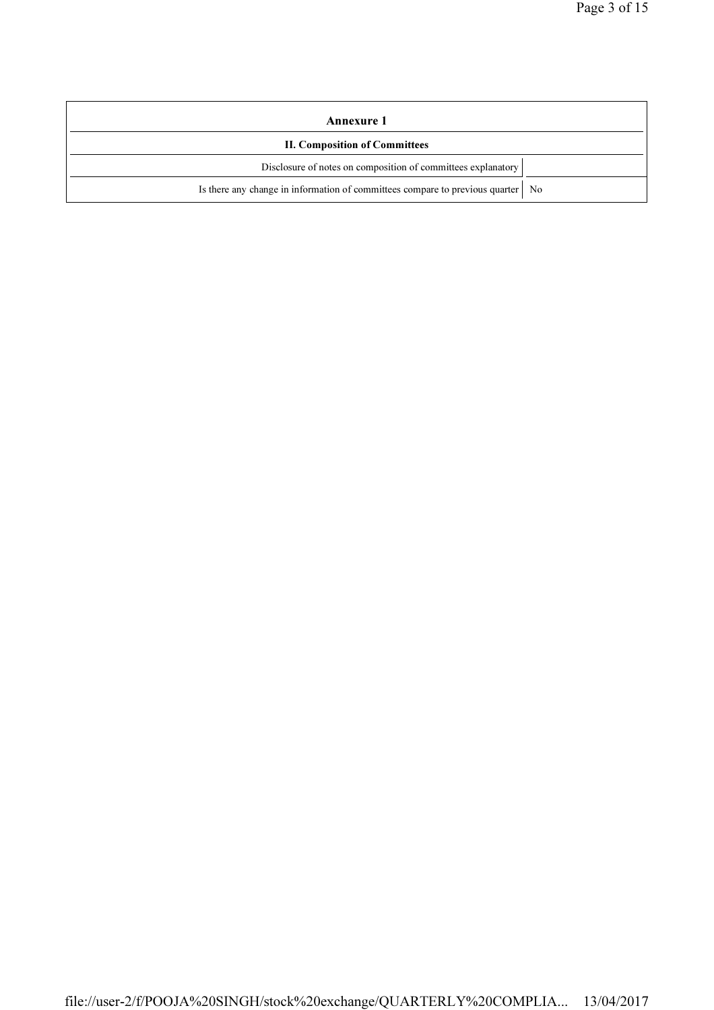| Annexure 1                                                                        |  |
|-----------------------------------------------------------------------------------|--|
| <b>II. Composition of Committees</b>                                              |  |
| Disclosure of notes on composition of committees explanatory                      |  |
| Is there any change in information of committees compare to previous quarter   No |  |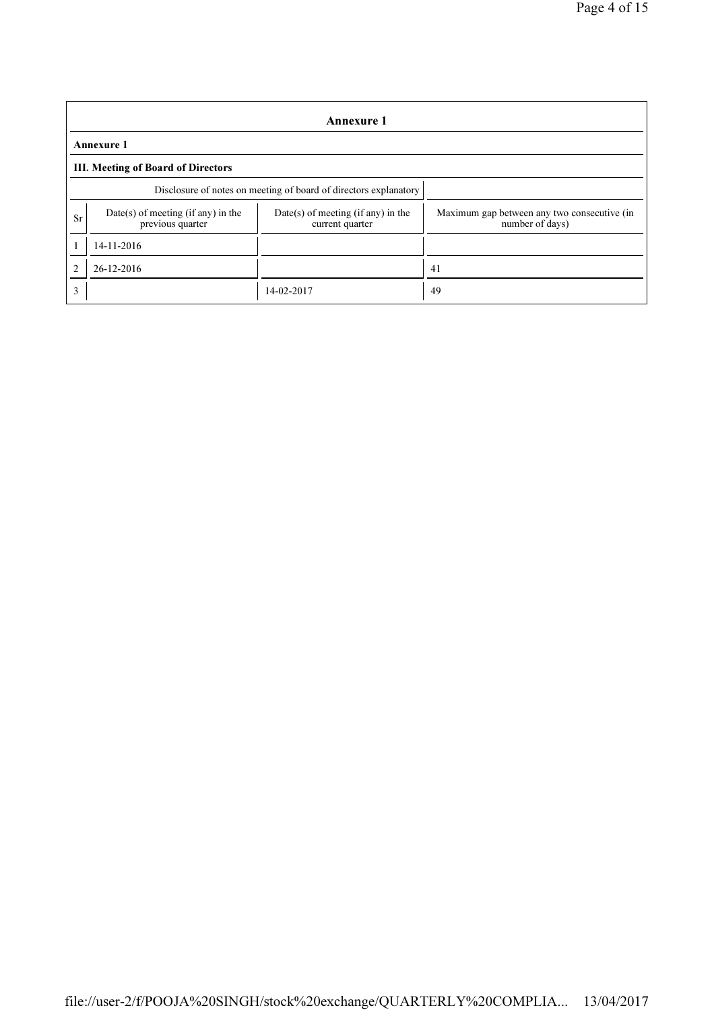|    | <b>Annexure 1</b>                                                |                                                         |                                                                |  |  |  |
|----|------------------------------------------------------------------|---------------------------------------------------------|----------------------------------------------------------------|--|--|--|
|    | <b>Annexure 1</b>                                                |                                                         |                                                                |  |  |  |
|    | <b>III. Meeting of Board of Directors</b>                        |                                                         |                                                                |  |  |  |
|    | Disclosure of notes on meeting of board of directors explanatory |                                                         |                                                                |  |  |  |
| Sr | $Date(s)$ of meeting (if any) in the<br>previous quarter         | $Date(s)$ of meeting (if any) in the<br>current quarter | Maximum gap between any two consecutive (in<br>number of days) |  |  |  |
|    | 14-11-2016                                                       |                                                         |                                                                |  |  |  |
| 2  | 26-12-2016                                                       |                                                         | 41                                                             |  |  |  |
| 3  |                                                                  | 14-02-2017                                              | 49                                                             |  |  |  |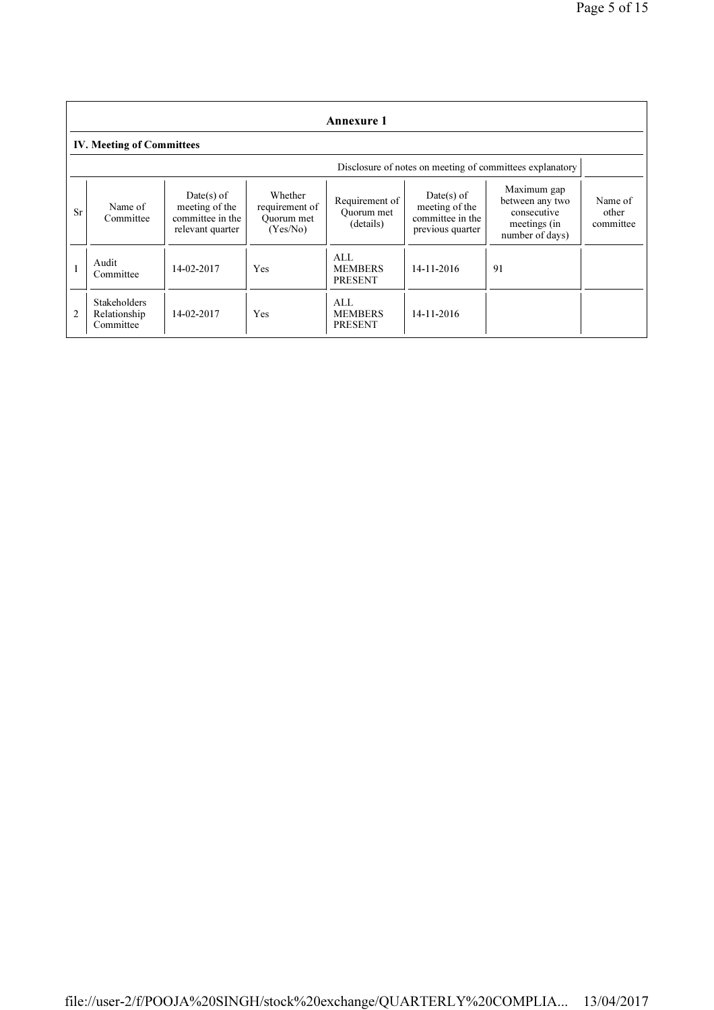|                | <b>Annexure 1</b>                                        |                                                                        |                                                     |                                           |                                                                      |                                                                                  |                               |
|----------------|----------------------------------------------------------|------------------------------------------------------------------------|-----------------------------------------------------|-------------------------------------------|----------------------------------------------------------------------|----------------------------------------------------------------------------------|-------------------------------|
|                | <b>IV. Meeting of Committees</b>                         |                                                                        |                                                     |                                           |                                                                      |                                                                                  |                               |
|                | Disclosure of notes on meeting of committees explanatory |                                                                        |                                                     |                                           |                                                                      |                                                                                  |                               |
| Sr             | Name of<br>Committee                                     | $Date(s)$ of<br>meeting of the<br>committee in the<br>relevant quarter | Whether<br>requirement of<br>Ouorum met<br>(Yes/No) | Requirement of<br>Ouorum met<br>(details) | Date(s) of<br>meeting of the<br>committee in the<br>previous quarter | Maximum gap<br>between any two<br>consecutive<br>meetings (in<br>number of days) | Name of<br>other<br>committee |
|                | Audit<br>Committee                                       | 14-02-2017                                                             | Yes                                                 | AI.<br><b>MEMBERS</b><br><b>PRESENT</b>   | $14 - 11 - 2016$                                                     | 91                                                                               |                               |
| $\overline{c}$ | <b>Stakeholders</b><br>Relationship<br>Committee         | 14-02-2017                                                             | Yes                                                 | AI.<br><b>MEMBERS</b><br><b>PRESENT</b>   | 14-11-2016                                                           |                                                                                  |                               |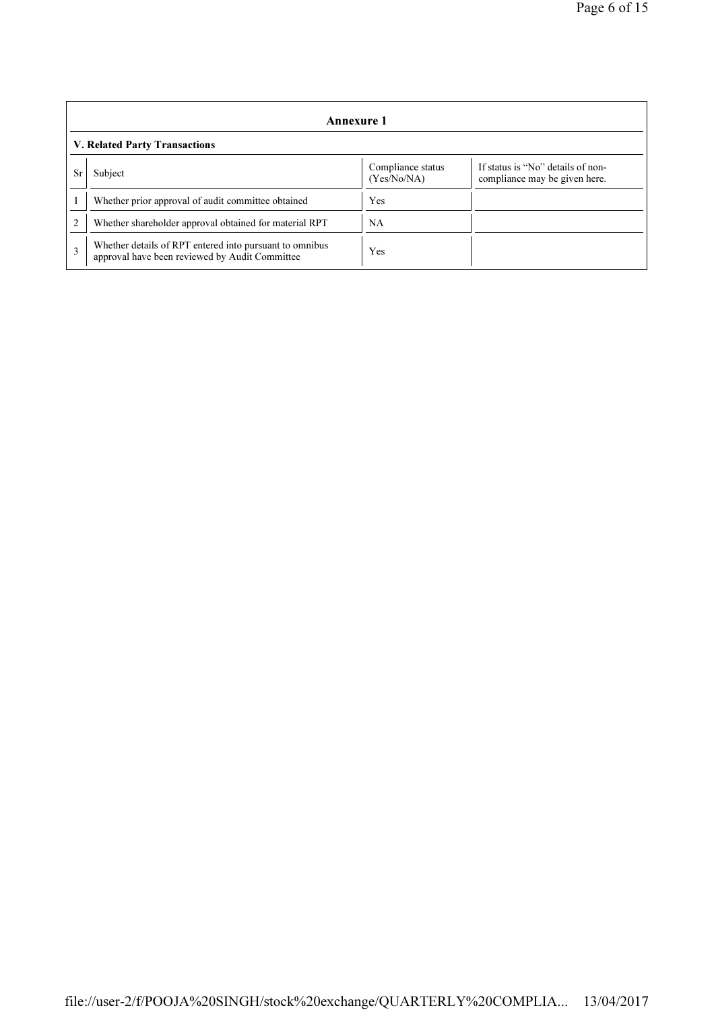|    | Annexure 1                                                                                                |                                  |                                                                    |  |  |  |
|----|-----------------------------------------------------------------------------------------------------------|----------------------------------|--------------------------------------------------------------------|--|--|--|
|    | V. Related Party Transactions                                                                             |                                  |                                                                    |  |  |  |
| Sr | Subject                                                                                                   | Compliance status<br>(Yes/No/NA) | If status is "No" details of non-<br>compliance may be given here. |  |  |  |
|    | Whether prior approval of audit committee obtained                                                        | Yes                              |                                                                    |  |  |  |
|    | Whether shareholder approval obtained for material RPT                                                    | NA                               |                                                                    |  |  |  |
| 3  | Whether details of RPT entered into pursuant to omnibus<br>approval have been reviewed by Audit Committee | Yes                              |                                                                    |  |  |  |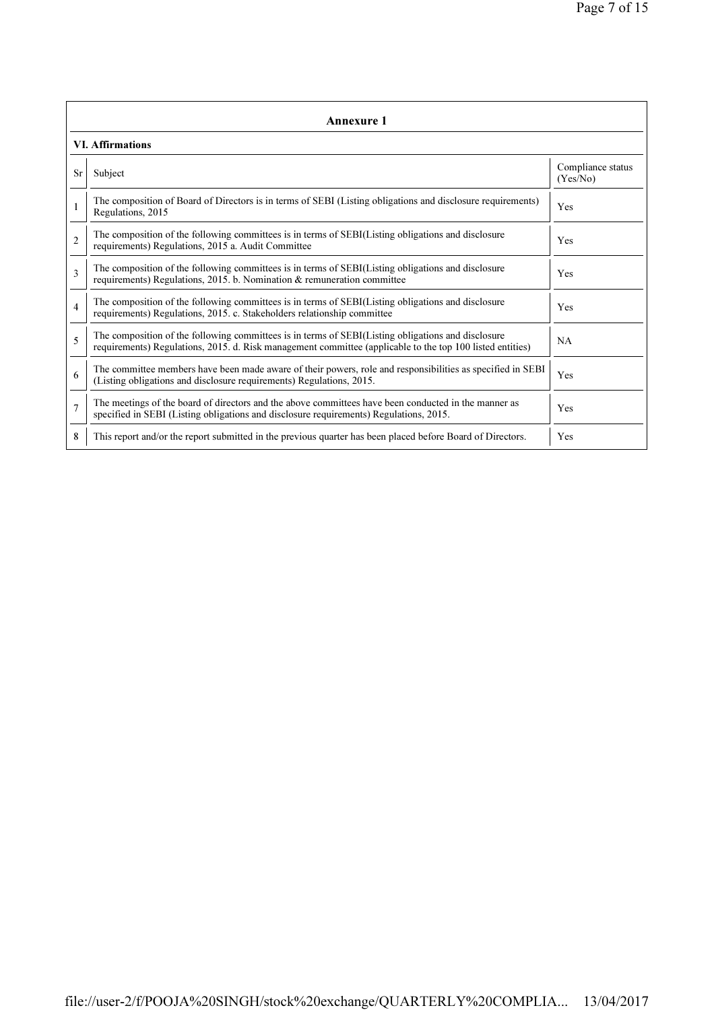|                | <b>Annexure 1</b>                                                                                                                                                                                               |                               |  |  |  |
|----------------|-----------------------------------------------------------------------------------------------------------------------------------------------------------------------------------------------------------------|-------------------------------|--|--|--|
|                | <b>VI. Affirmations</b>                                                                                                                                                                                         |                               |  |  |  |
| <b>Sr</b>      | Subject                                                                                                                                                                                                         | Compliance status<br>(Yes/No) |  |  |  |
|                | The composition of Board of Directors is in terms of SEBI (Listing obligations and disclosure requirements)<br>Regulations, 2015                                                                                | Yes                           |  |  |  |
| $\overline{2}$ | The composition of the following committees is in terms of SEBI(Listing obligations and disclosure<br>requirements) Regulations, 2015 a. Audit Committee                                                        | Yes                           |  |  |  |
| $\mathbf{3}$   | The composition of the following committees is in terms of SEBI(Listing obligations and disclosure<br>requirements) Regulations, 2015. b. Nomination & remuneration committee                                   | Yes                           |  |  |  |
| $\overline{4}$ | The composition of the following committees is in terms of SEBI(Listing obligations and disclosure<br>requirements) Regulations, 2015. c. Stakeholders relationship committee                                   | Yes                           |  |  |  |
| 5              | The composition of the following committees is in terms of SEBI(Listing obligations and disclosure<br>requirements) Regulations, 2015. d. Risk management committee (applicable to the top 100 listed entities) | NA                            |  |  |  |
| 6              | The committee members have been made aware of their powers, role and responsibilities as specified in SEBI<br>(Listing obligations and disclosure requirements) Regulations, 2015.                              | Yes                           |  |  |  |
| $\overline{7}$ | The meetings of the board of directors and the above committees have been conducted in the manner as<br>specified in SEBI (Listing obligations and disclosure requirements) Regulations, 2015.                  | Yes                           |  |  |  |
| 8              | This report and/or the report submitted in the previous quarter has been placed before Board of Directors.                                                                                                      | Yes                           |  |  |  |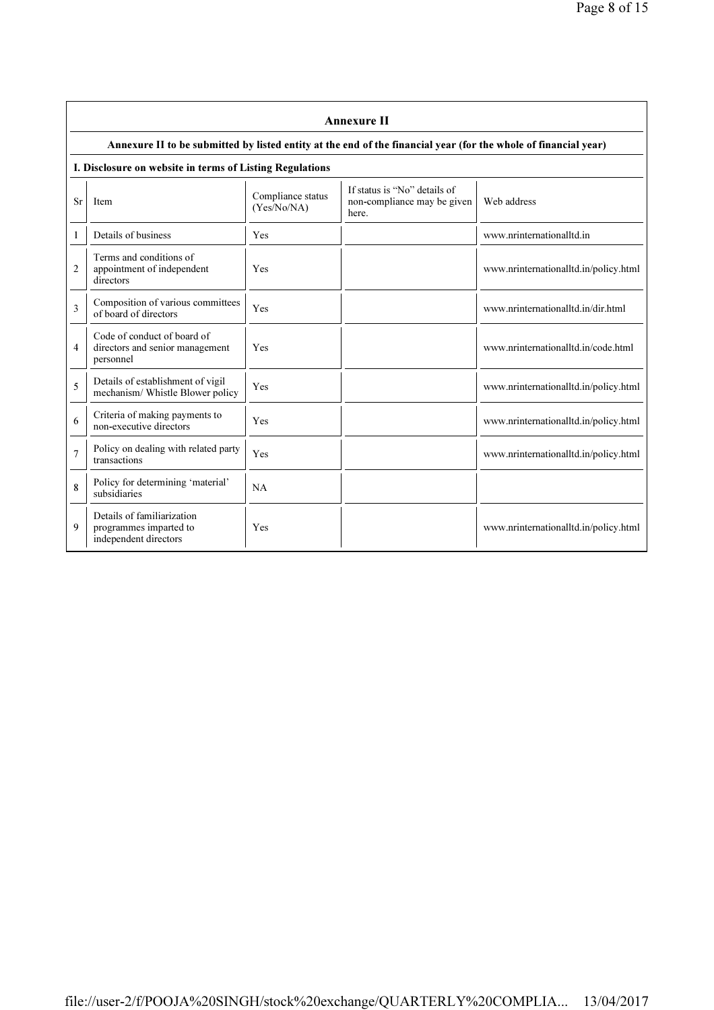|                | <b>Annexure II</b>                                                                                              |                                  |                                                                      |                                       |  |  |  |
|----------------|-----------------------------------------------------------------------------------------------------------------|----------------------------------|----------------------------------------------------------------------|---------------------------------------|--|--|--|
|                | Annexure II to be submitted by listed entity at the end of the financial year (for the whole of financial year) |                                  |                                                                      |                                       |  |  |  |
|                | I. Disclosure on website in terms of Listing Regulations                                                        |                                  |                                                                      |                                       |  |  |  |
| <b>Sr</b>      | Item                                                                                                            | Compliance status<br>(Yes/No/NA) | If status is "No" details of<br>non-compliance may be given<br>here. | Web address                           |  |  |  |
| 1              | Details of business                                                                                             | Yes                              |                                                                      | www.nrinternationalltd.in             |  |  |  |
| 2              | Terms and conditions of<br>appointment of independent<br>directors                                              | Yes                              |                                                                      | www.nrinternationalltd.in/policy.html |  |  |  |
| 3              | Composition of various committees<br>of board of directors                                                      | Yes                              |                                                                      | www.nrinternationalltd.in/dir.html    |  |  |  |
| 4              | Code of conduct of board of<br>directors and senior management<br>personnel                                     | Yes                              |                                                                      | www.nrinternationalltd.in/code.html   |  |  |  |
| 5              | Details of establishment of vigil<br>mechanism/ Whistle Blower policy                                           | Yes                              |                                                                      | www.nrinternationalltd.in/policy.html |  |  |  |
| 6              | Criteria of making payments to<br>non-executive directors                                                       | Yes                              |                                                                      | www.nrinternationalltd.in/policy.html |  |  |  |
| $\overline{7}$ | Policy on dealing with related party<br>transactions                                                            | Yes                              |                                                                      | www.nrinternationalltd.in/policy.html |  |  |  |
| 8              | Policy for determining 'material'<br>subsidiaries                                                               | NA                               |                                                                      |                                       |  |  |  |
| 9              | Details of familiarization<br>programmes imparted to<br>independent directors                                   | Yes                              |                                                                      | www.nrinternationalltd.in/policy.html |  |  |  |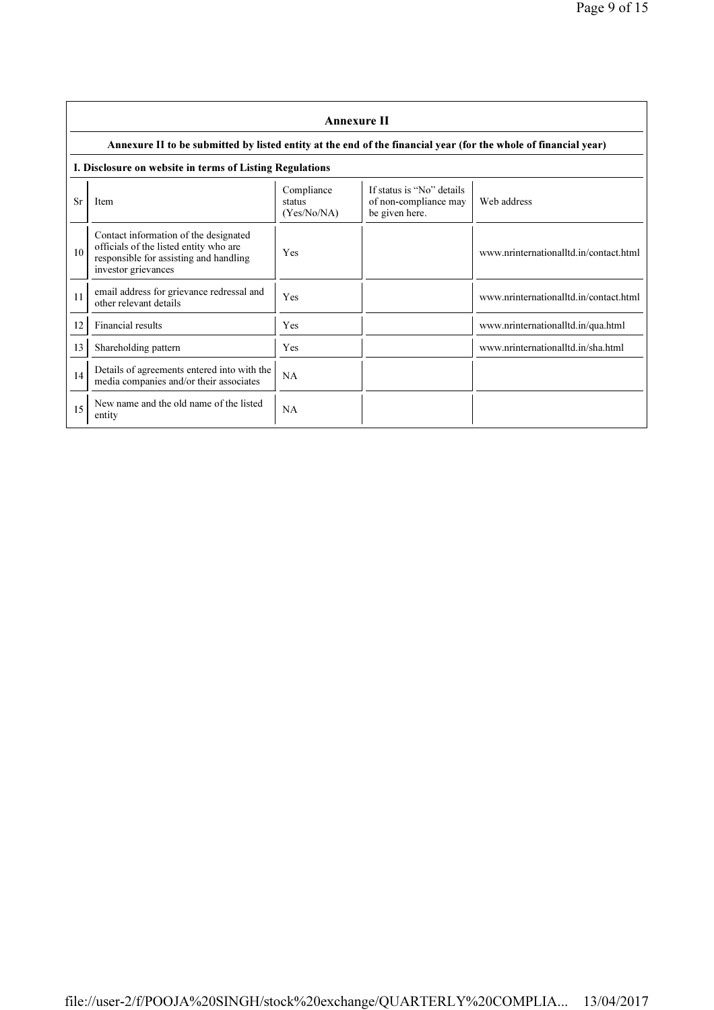|    | <b>Annexure II</b>                                                                                                                               |                                     |                                                                      |                                        |  |  |
|----|--------------------------------------------------------------------------------------------------------------------------------------------------|-------------------------------------|----------------------------------------------------------------------|----------------------------------------|--|--|
|    | Annexure II to be submitted by listed entity at the end of the financial year (for the whole of financial year)                                  |                                     |                                                                      |                                        |  |  |
|    | I. Disclosure on website in terms of Listing Regulations                                                                                         |                                     |                                                                      |                                        |  |  |
| Sr | Item                                                                                                                                             | Compliance<br>status<br>(Yes/No/NA) | If status is "No" details<br>of non-compliance may<br>be given here. | Web address                            |  |  |
| 10 | Contact information of the designated<br>officials of the listed entity who are<br>responsible for assisting and handling<br>investor grievances | Yes                                 |                                                                      | www.nrinternationalltd.in/contact.html |  |  |
| 11 | email address for grievance redressal and<br>other relevant details                                                                              | Yes                                 |                                                                      | www.nrinternationalltd.in/contact.html |  |  |
| 12 | Financial results                                                                                                                                | Yes                                 |                                                                      | www.nrinternationalltd.in/qua.html     |  |  |
| 13 | Shareholding pattern                                                                                                                             | Yes                                 |                                                                      | www.nrinternationalltd.in/sha.html     |  |  |
| 14 | Details of agreements entered into with the<br>media companies and/or their associates                                                           | NA                                  |                                                                      |                                        |  |  |
| 15 | New name and the old name of the listed<br>entity                                                                                                | NA                                  |                                                                      |                                        |  |  |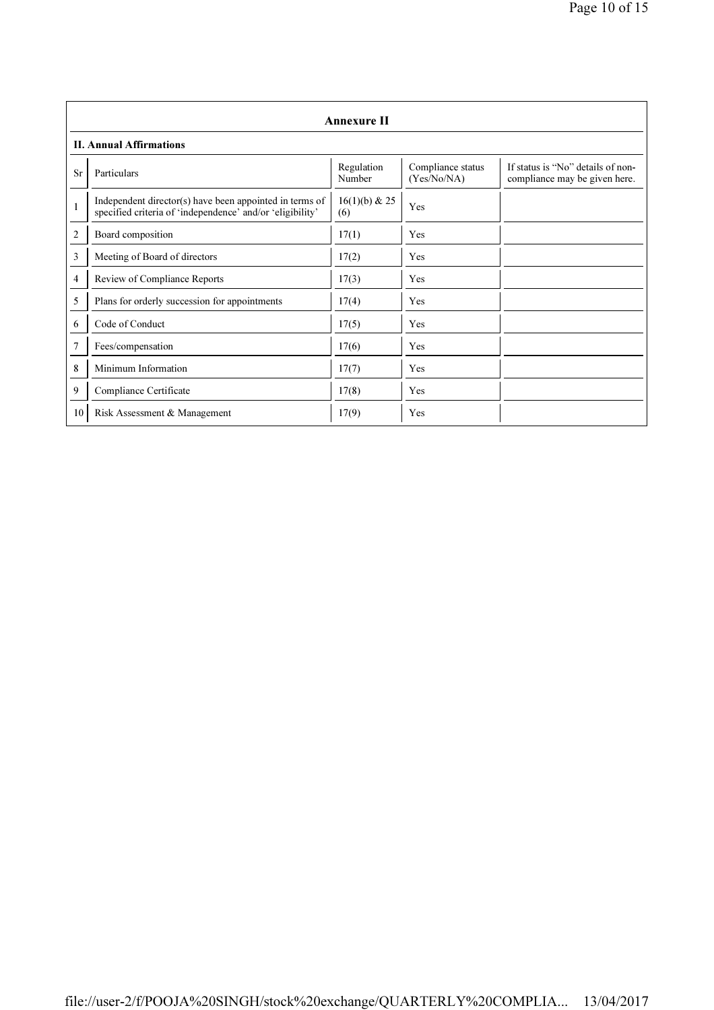|           | <b>Annexure II</b>                                                                                                   |                        |                                  |                                                                    |  |  |
|-----------|----------------------------------------------------------------------------------------------------------------------|------------------------|----------------------------------|--------------------------------------------------------------------|--|--|
|           | <b>II. Annual Affirmations</b>                                                                                       |                        |                                  |                                                                    |  |  |
| <b>Sr</b> | Particulars                                                                                                          | Regulation<br>Number   | Compliance status<br>(Yes/No/NA) | If status is "No" details of non-<br>compliance may be given here. |  |  |
| 1         | Independent director(s) have been appointed in terms of<br>specified criteria of 'independence' and/or 'eligibility' | $16(1)(b)$ & 25<br>(6) | Yes                              |                                                                    |  |  |
| 2         | Board composition                                                                                                    | 17(1)                  | Yes                              |                                                                    |  |  |
| 3         | Meeting of Board of directors                                                                                        | 17(2)                  | Yes                              |                                                                    |  |  |
| 4         | Review of Compliance Reports                                                                                         | 17(3)                  | Yes                              |                                                                    |  |  |
| 5         | Plans for orderly succession for appointments                                                                        | 17(4)                  | Yes                              |                                                                    |  |  |
| 6         | Code of Conduct                                                                                                      | 17(5)                  | Yes                              |                                                                    |  |  |
| 7         | Fees/compensation                                                                                                    | 17(6)                  | Yes                              |                                                                    |  |  |
| 8         | Minimum Information                                                                                                  | 17(7)                  | Yes                              |                                                                    |  |  |
| 9         | Compliance Certificate                                                                                               | 17(8)                  | Yes                              |                                                                    |  |  |
| 10        | Risk Assessment & Management                                                                                         | 17(9)                  | Yes                              |                                                                    |  |  |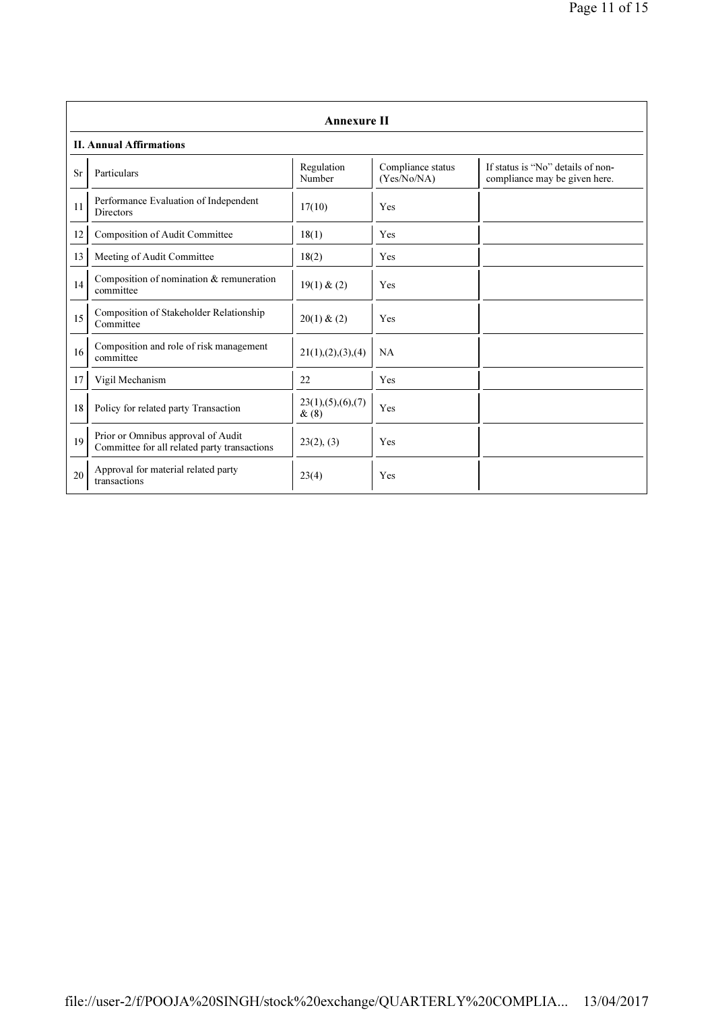|    | <b>Annexure II</b>                                                                 |                                 |                                  |                                                                    |  |  |
|----|------------------------------------------------------------------------------------|---------------------------------|----------------------------------|--------------------------------------------------------------------|--|--|
|    | <b>II. Annual Affirmations</b>                                                     |                                 |                                  |                                                                    |  |  |
| Sr | Particulars                                                                        | Regulation<br>Number            | Compliance status<br>(Yes/No/NA) | If status is "No" details of non-<br>compliance may be given here. |  |  |
| 11 | Performance Evaluation of Independent<br><b>Directors</b>                          | 17(10)                          | Yes                              |                                                                    |  |  |
| 12 | Composition of Audit Committee                                                     | 18(1)                           | Yes                              |                                                                    |  |  |
| 13 | Meeting of Audit Committee                                                         | 18(2)                           | Yes                              |                                                                    |  |  |
| 14 | Composition of nomination $&$ remuneration<br>committee                            | 19(1) & (2)                     | Yes                              |                                                                    |  |  |
| 15 | Composition of Stakeholder Relationship<br>Committee                               | 20(1) & (2)                     | Yes                              |                                                                    |  |  |
| 16 | Composition and role of risk management<br>committee                               | 21(1), (2), (3), (4)            | NA                               |                                                                    |  |  |
| 17 | Vigil Mechanism                                                                    | 22                              | Yes                              |                                                                    |  |  |
| 18 | Policy for related party Transaction                                               | 23(1), (5), (6), (7)<br>$\&(8)$ | Yes                              |                                                                    |  |  |
| 19 | Prior or Omnibus approval of Audit<br>Committee for all related party transactions | 23(2), (3)                      | Yes                              |                                                                    |  |  |
| 20 | Approval for material related party<br>transactions                                | 23(4)                           | Yes                              |                                                                    |  |  |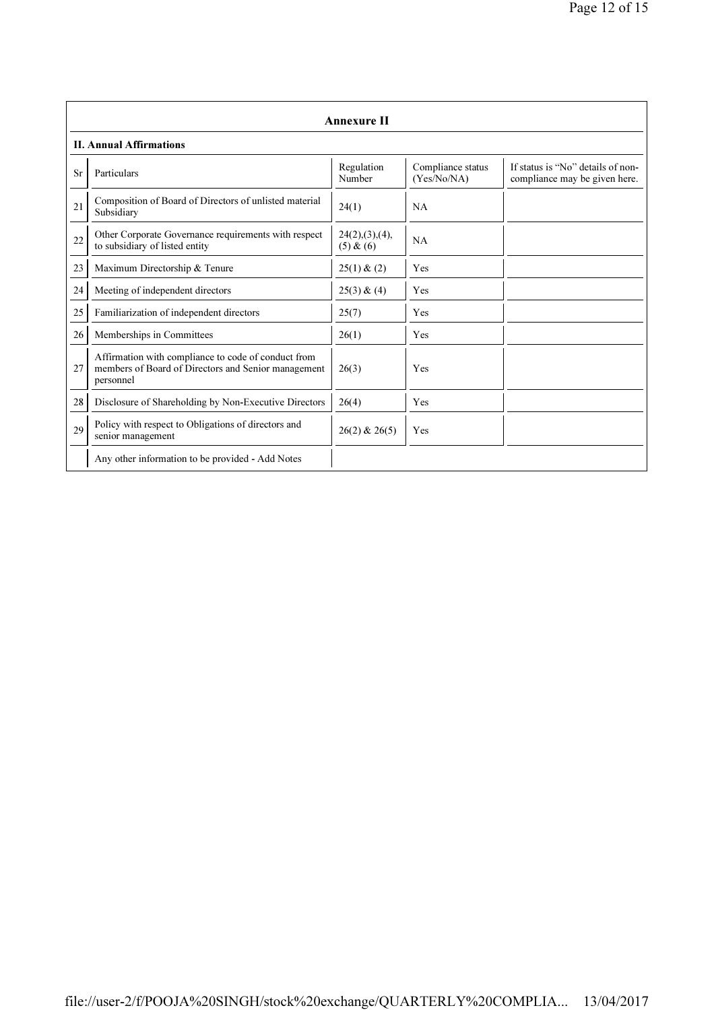|    | <b>Annexure II</b>                                                                                                      |                             |                                  |                                                                    |  |
|----|-------------------------------------------------------------------------------------------------------------------------|-----------------------------|----------------------------------|--------------------------------------------------------------------|--|
|    | <b>II. Annual Affirmations</b>                                                                                          |                             |                                  |                                                                    |  |
| Sr | Particulars                                                                                                             | Regulation<br>Number        | Compliance status<br>(Yes/No/NA) | If status is "No" details of non-<br>compliance may be given here. |  |
| 21 | Composition of Board of Directors of unlisted material<br>Subsidiary                                                    | 24(1)                       | <b>NA</b>                        |                                                                    |  |
| 22 | Other Corporate Governance requirements with respect<br>to subsidiary of listed entity                                  | 24(2),(3),(4),<br>(5) & (6) | <b>NA</b>                        |                                                                    |  |
| 23 | Maximum Directorship & Tenure                                                                                           | 25(1) & (2)                 | Yes                              |                                                                    |  |
| 24 | Meeting of independent directors                                                                                        | 25(3) & (4)                 | Yes                              |                                                                    |  |
| 25 | Familiarization of independent directors                                                                                | 25(7)                       | Yes                              |                                                                    |  |
| 26 | Memberships in Committees                                                                                               | 26(1)                       | Yes                              |                                                                    |  |
| 27 | Affirmation with compliance to code of conduct from<br>members of Board of Directors and Senior management<br>personnel | 26(3)                       | Yes                              |                                                                    |  |
| 28 | Disclosure of Shareholding by Non-Executive Directors                                                                   | 26(4)                       | Yes                              |                                                                    |  |
| 29 | Policy with respect to Obligations of directors and<br>senior management                                                | $26(2)$ & $26(5)$           | Yes                              |                                                                    |  |
|    | Any other information to be provided - Add Notes                                                                        |                             |                                  |                                                                    |  |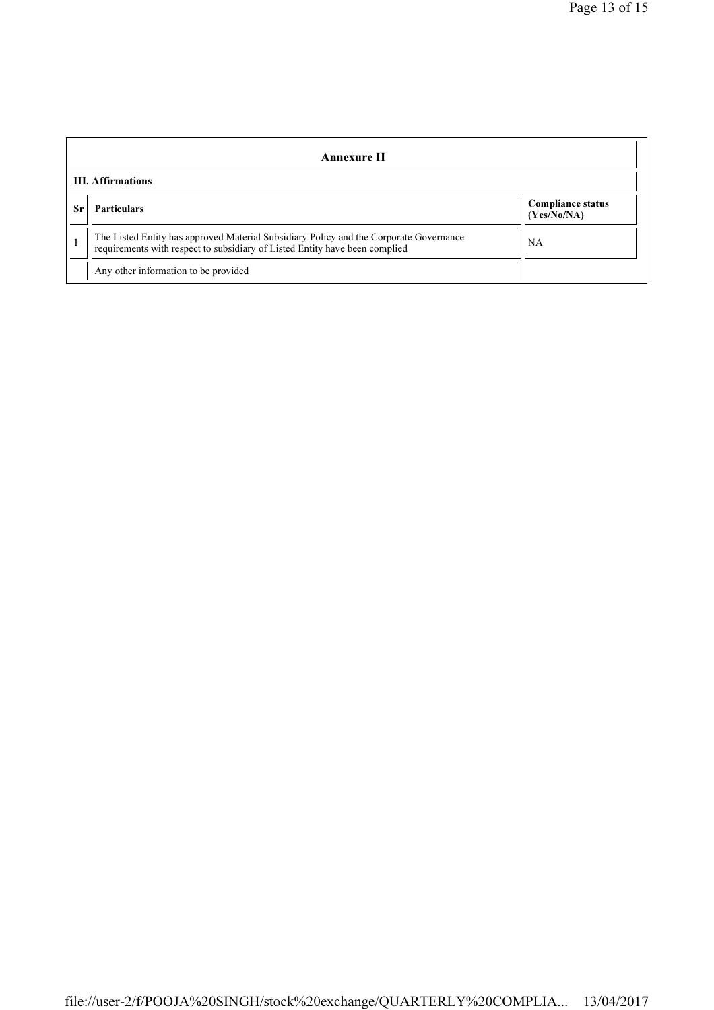| Annexure II              |                                                                                                                                                                       |                                         |  |
|--------------------------|-----------------------------------------------------------------------------------------------------------------------------------------------------------------------|-----------------------------------------|--|
| <b>III.</b> Affirmations |                                                                                                                                                                       |                                         |  |
|                          | <b>Particulars</b>                                                                                                                                                    | <b>Compliance status</b><br>(Yes/No/NA) |  |
|                          | The Listed Entity has approved Material Subsidiary Policy and the Corporate Governance<br>requirements with respect to subsidiary of Listed Entity have been complied | <b>NA</b>                               |  |
|                          | Any other information to be provided                                                                                                                                  |                                         |  |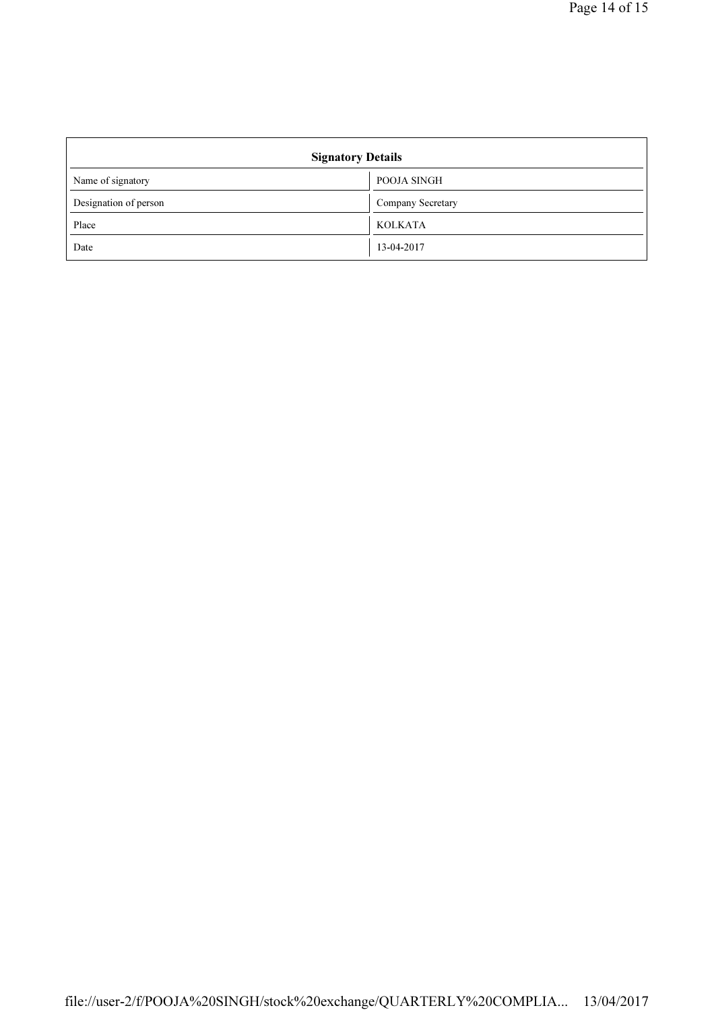| <b>Signatory Details</b> |                   |  |
|--------------------------|-------------------|--|
| Name of signatory        | POOJA SINGH       |  |
| Designation of person    | Company Secretary |  |
| Place                    | <b>KOLKATA</b>    |  |
| Date                     | 13-04-2017        |  |